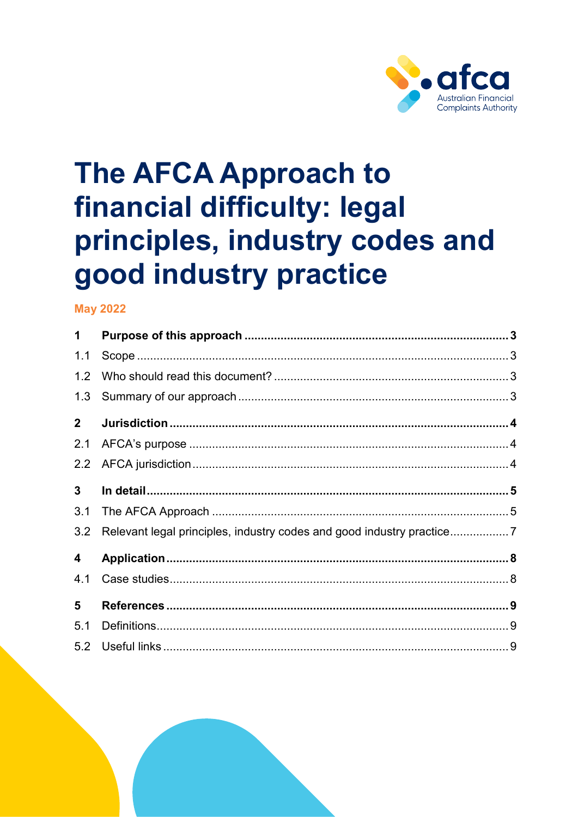

# **The AFCA Approach to** financial difficulty: legal principles, industry codes and good industry practice

## **May 2022**

| $\mathbf 1$    |                                                                       |  |
|----------------|-----------------------------------------------------------------------|--|
| 1.1            |                                                                       |  |
| 1.2            |                                                                       |  |
| 1.3            |                                                                       |  |
| $\mathbf{2}$   |                                                                       |  |
| 2.1            |                                                                       |  |
| 2.2            |                                                                       |  |
| 3 <sup>1</sup> |                                                                       |  |
| 3.1            |                                                                       |  |
| 3.2            | Relevant legal principles, industry codes and good industry practice7 |  |
| 4              |                                                                       |  |
| 4.1            |                                                                       |  |
| 5              |                                                                       |  |
| 5.1            |                                                                       |  |
| 5.2            |                                                                       |  |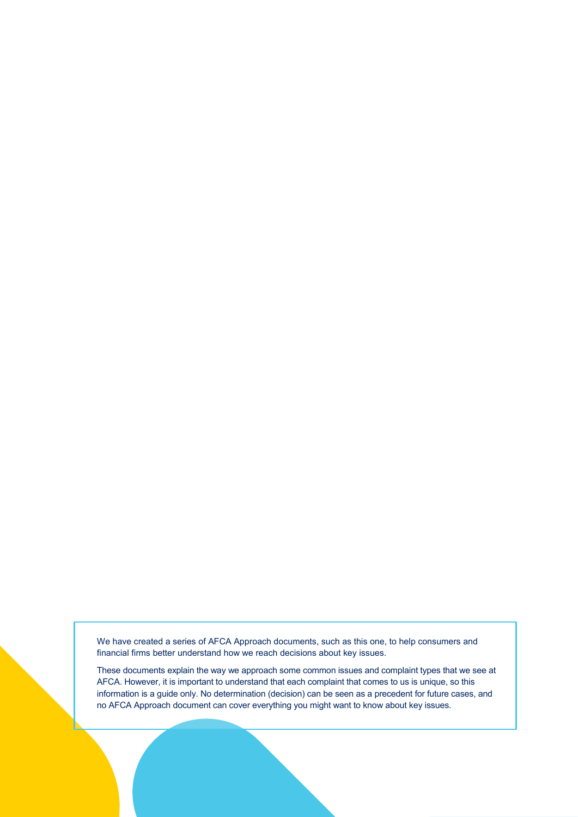We have created a series of AFCA Approach documents, such as this one, to help consumers and financial firms better understand how we reach decisions about key issues.

These documents explain the way we approach some common issues and complaint types that we see at AFCA. However, it is important to understand that each complaint that comes to us is unique, so this information is a guide only. No determination (decision) can be seen as a precedent for future cases, and no AFCA Approach document can cover everything you might want to know about key issues.

legal principles, industry codes and good industry practice Page 2 of 10

The AFCA Approach to financial difficulty: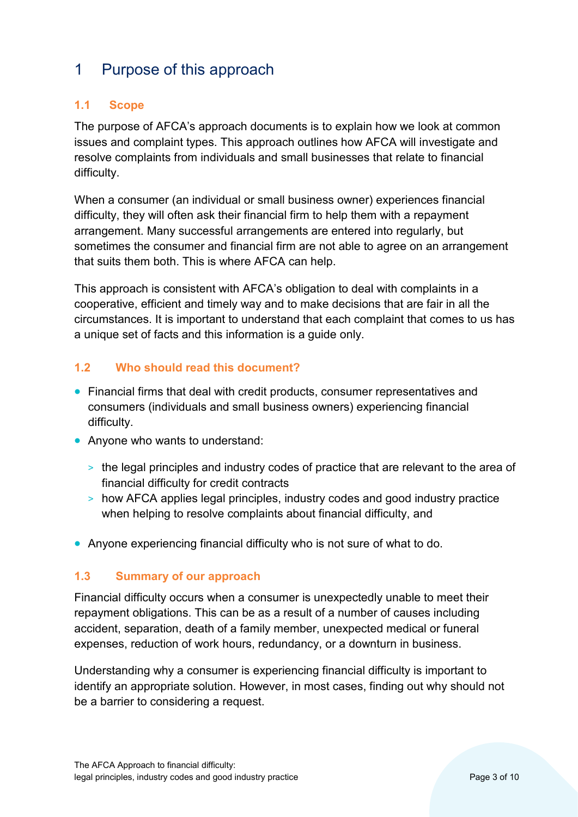# <span id="page-2-0"></span>1 Purpose of this approach

## <span id="page-2-1"></span>**1.1 Scope**

The purpose of AFCA's approach documents is to explain how we look at common issues and complaint types. This approach outlines how AFCA will investigate and resolve complaints from individuals and small businesses that relate to financial difficulty.

When a consumer (an individual or small business owner) experiences financial difficulty, they will often ask their financial firm to help them with a repayment arrangement. Many successful arrangements are entered into regularly, but sometimes the consumer and financial firm are not able to agree on an arrangement that suits them both. This is where AFCA can help.

This approach is consistent with AFCA's obligation to deal with complaints in a cooperative, efficient and timely way and to make decisions that are fair in all the circumstances. It is important to understand that each complaint that comes to us has a unique set of facts and this information is a guide only.

#### <span id="page-2-2"></span>**1.2 Who should read this document?**

- Financial firms that deal with credit products, consumer representatives and consumers (individuals and small business owners) experiencing financial difficulty.
- Anyone who wants to understand:
	- > the legal principles and industry codes of practice that are relevant to the area of financial difficulty for credit contracts
	- > how AFCA applies legal principles, industry codes and good industry practice when helping to resolve complaints about financial difficulty, and
- Anyone experiencing financial difficulty who is not sure of what to do.

#### <span id="page-2-3"></span>**1.3 Summary of our approach**

Financial difficulty occurs when a consumer is unexpectedly unable to meet their repayment obligations. This can be as a result of a number of causes including accident, separation, death of a family member, unexpected medical or funeral expenses, reduction of work hours, redundancy, or a downturn in business.

Understanding why a consumer is experiencing financial difficulty is important to identify an appropriate solution. However, in most cases, finding out why should not be a barrier to considering a request.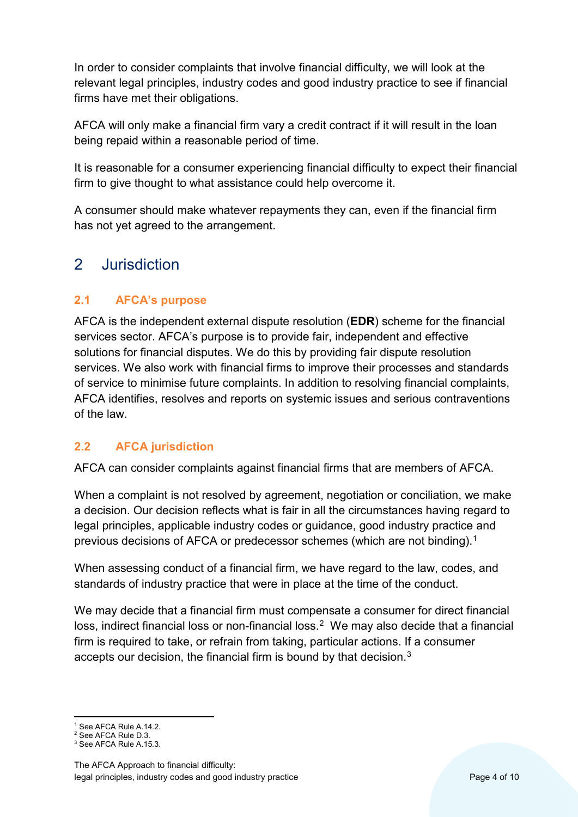In order to consider complaints that involve financial difficulty, we will look at the relevant legal principles, industry codes and good industry practice to see if financial firms have met their obligations.

AFCA will only make a financial firm vary a credit contract if it will result in the loan being repaid within a reasonable period of time.

It is reasonable for a consumer experiencing financial difficulty to expect their financial firm to give thought to what assistance could help overcome it.

A consumer should make whatever repayments they can, even if the financial firm has not yet agreed to the arrangement.

# <span id="page-3-0"></span>2 Jurisdiction

## <span id="page-3-1"></span>**2.1 AFCA's purpose**

AFCA is the independent external dispute resolution (**EDR**) scheme for the financial services sector. AFCA's purpose is to provide fair, independent and effective solutions for financial disputes. We do this by providing fair dispute resolution services. We also work with financial firms to improve their processes and standards of service to minimise future complaints. In addition to resolving financial complaints, AFCA identifies, resolves and reports on systemic issues and serious contraventions of the law.

## <span id="page-3-2"></span>**2.2 AFCA jurisdiction**

AFCA can consider complaints against financial firms that are members of AFCA.

When a complaint is not resolved by agreement, negotiation or conciliation, we make a decision. Our decision reflects what is fair in all the circumstances having regard to legal principles, applicable industry codes or guidance, good industry practice and previous decisions of AFCA or predecessor schemes (which are not binding).<sup>1</sup>

When assessing conduct of a financial firm, we have regard to the law, codes, and standards of industry practice that were in place at the time of the conduct.

We may decide that a financial firm must compensate a consumer for direct financial loss, indirect financial loss or non-financial loss.<sup>2</sup> We may also decide that a financial firm is required to take, or refrain from taking, particular actions. If a consumer accepts our decision, the financial firm is bound by that decision.<sup>[3](#page-3-5)</sup>

<span id="page-3-3"></span><sup>&</sup>lt;sup>1</sup> See AFCA Rule A.14.2.

<span id="page-3-4"></span><sup>2</sup> See AFCA Rule D.3.

<span id="page-3-5"></span><sup>3</sup> See AFCA Rule A.15.3.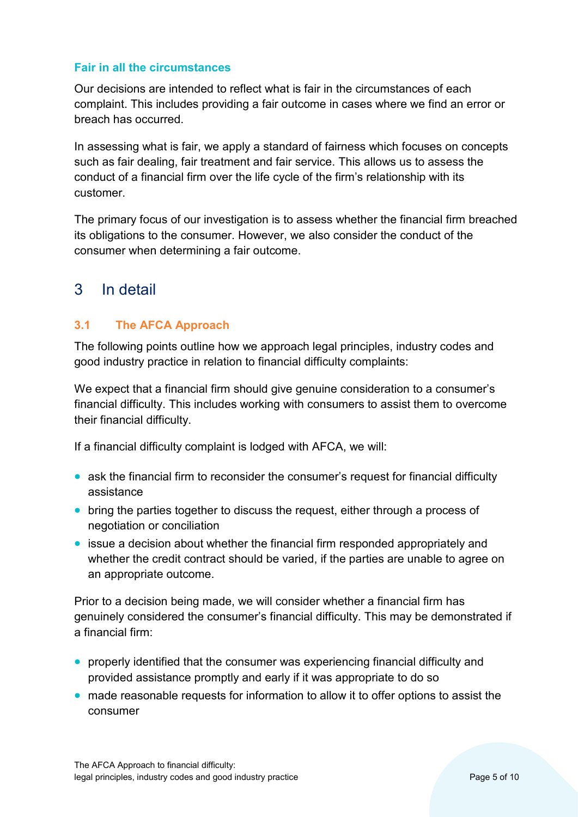#### **Fair in all the circumstances**

Our decisions are intended to reflect what is fair in the circumstances of each complaint. This includes providing a fair outcome in cases where we find an error or breach has occurred.

In assessing what is fair, we apply a standard of fairness which focuses on concepts such as fair dealing, fair treatment and fair service. This allows us to assess the conduct of a financial firm over the life cycle of the firm's relationship with its customer.

The primary focus of our investigation is to assess whether the financial firm breached its obligations to the consumer. However, we also consider the conduct of the consumer when determining a fair outcome.

# <span id="page-4-0"></span>3 In detail

#### <span id="page-4-1"></span>**3.1 The AFCA Approach**

The following points outline how we approach legal principles, industry codes and good industry practice in relation to financial difficulty complaints:

We expect that a financial firm should give genuine consideration to a consumer's financial difficulty. This includes working with consumers to assist them to overcome their financial difficulty.

If a financial difficulty complaint is lodged with AFCA, we will:

- ask the financial firm to reconsider the consumer's request for financial difficulty assistance
- bring the parties together to discuss the request, either through a process of negotiation or conciliation
- issue a decision about whether the financial firm responded appropriately and whether the credit contract should be varied, if the parties are unable to agree on an appropriate outcome.

Prior to a decision being made, we will consider whether a financial firm has genuinely considered the consumer's financial difficulty. This may be demonstrated if a financial firm:

- properly identified that the consumer was experiencing financial difficulty and provided assistance promptly and early if it was appropriate to do so
- made reasonable requests for information to allow it to offer options to assist the consumer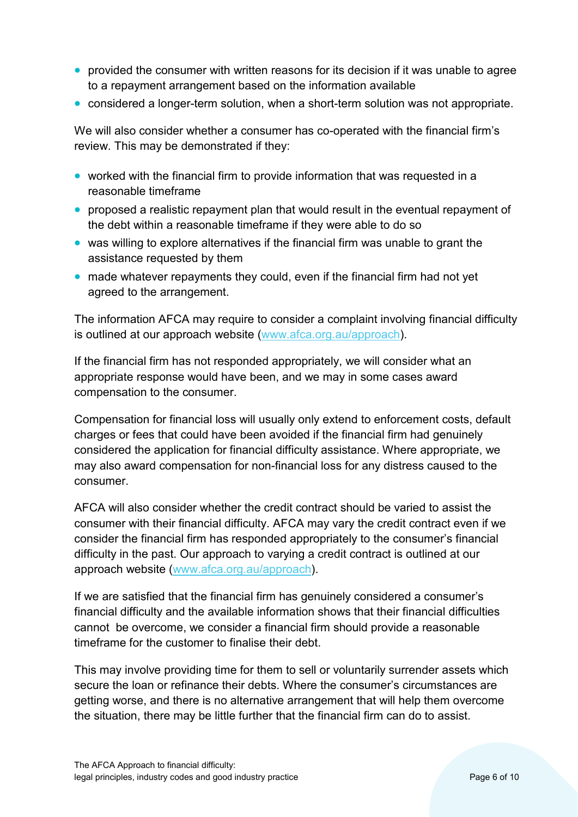- provided the consumer with written reasons for its decision if it was unable to agree to a repayment arrangement based on the information available
- considered a longer-term solution, when a short-term solution was not appropriate.

We will also consider whether a consumer has co-operated with the financial firm's review. This may be demonstrated if they:

- worked with the financial firm to provide information that was requested in a reasonable timeframe
- proposed a realistic repayment plan that would result in the eventual repayment of the debt within a reasonable timeframe if they were able to do so
- was willing to explore alternatives if the financial firm was unable to grant the assistance requested by them
- made whatever repayments they could, even if the financial firm had not yet agreed to the arrangement.

The information AFCA may require to consider a complaint involving financial difficulty is outlined at our approach website (www.afca.org.au/approach).

If the financial firm has not responded appropriately, we will consider what an appropriate response would have been, and we may in some cases award compensation to the consumer.

Compensation for financial loss will usually only extend to enforcement costs, default charges or fees that could have been avoided if the financial firm had genuinely considered the application for financial difficulty assistance. Where appropriate, we may also award compensation for non-financial loss for any distress caused to the consumer.

AFCA will also consider whether the credit contract should be varied to assist the consumer with their financial difficulty. AFCA may vary the credit contract even if we consider the financial firm has responded appropriately to the consumer's financial difficulty in the past. Our approach to varying a credit contract is outlined at our approach website (www.afca.org.au/approach).

If we are satisfied that the financial firm has genuinely considered a consumer's financial difficulty and the available information shows that their financial difficulties cannot be overcome, we consider a financial firm should provide a reasonable timeframe for the customer to finalise their debt.

This may involve providing time for them to sell or voluntarily surrender assets which secure the loan or refinance their debts. Where the consumer's circumstances are getting worse, and there is no alternative arrangement that will help them overcome the situation, there may be little further that the financial firm can do to assist.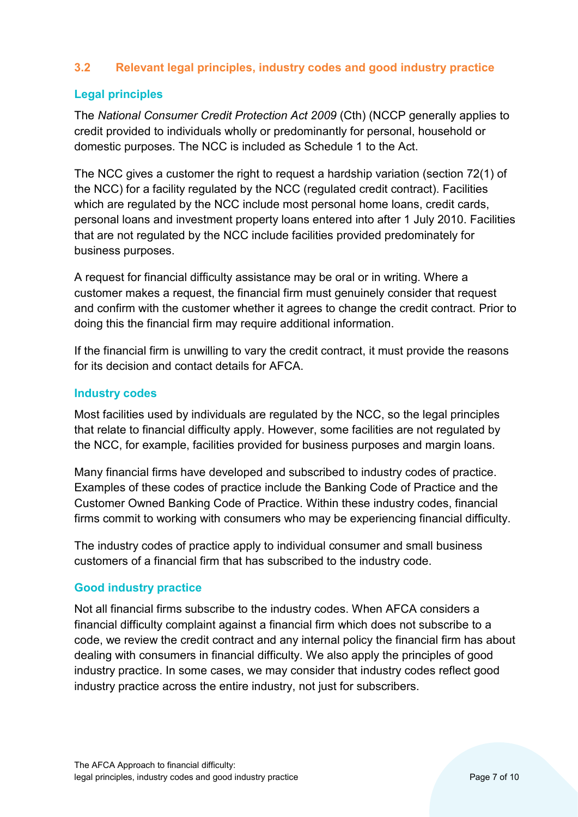#### <span id="page-6-0"></span>**3.2 Relevant legal principles, industry codes and good industry practice**

#### **Legal principles**

The *National Consumer Credit Protection Act 2009* (Cth) (NCCP generally applies to credit provided to individuals wholly or predominantly for personal, household or domestic purposes. The NCC is included as Schedule 1 to the Act.

The NCC gives a customer the right to request a hardship variation (section 72(1) of the NCC) for a facility regulated by the NCC (regulated credit contract). Facilities which are regulated by the NCC include most personal home loans, credit cards, personal loans and investment property loans entered into after 1 July 2010. Facilities that are not regulated by the NCC include facilities provided predominately for business purposes.

A request for financial difficulty assistance may be oral or in writing. Where a customer makes a request, the financial firm must genuinely consider that request and confirm with the customer whether it agrees to change the credit contract. Prior to doing this the financial firm may require additional information.

If the financial firm is unwilling to vary the credit contract, it must provide the reasons for its decision and contact details for AFCA.

#### **Industry codes**

Most facilities used by individuals are regulated by the NCC, so the legal principles that relate to financial difficulty apply. However, some facilities are not regulated by the NCC, for example, facilities provided for business purposes and margin loans.

Many financial firms have developed and subscribed to industry codes of practice. Examples of these codes of practice include the Banking Code of Practice and the Customer Owned Banking Code of Practice. Within these industry codes, financial firms commit to working with consumers who may be experiencing financial difficulty.

The industry codes of practice apply to individual consumer and small business customers of a financial firm that has subscribed to the industry code.

#### **Good industry practice**

Not all financial firms subscribe to the industry codes. When AFCA considers a financial difficulty complaint against a financial firm which does not subscribe to a code, we review the credit contract and any internal policy the financial firm has about dealing with consumers in financial difficulty. We also apply the principles of good industry practice. In some cases, we may consider that industry codes reflect good industry practice across the entire industry, not just for subscribers.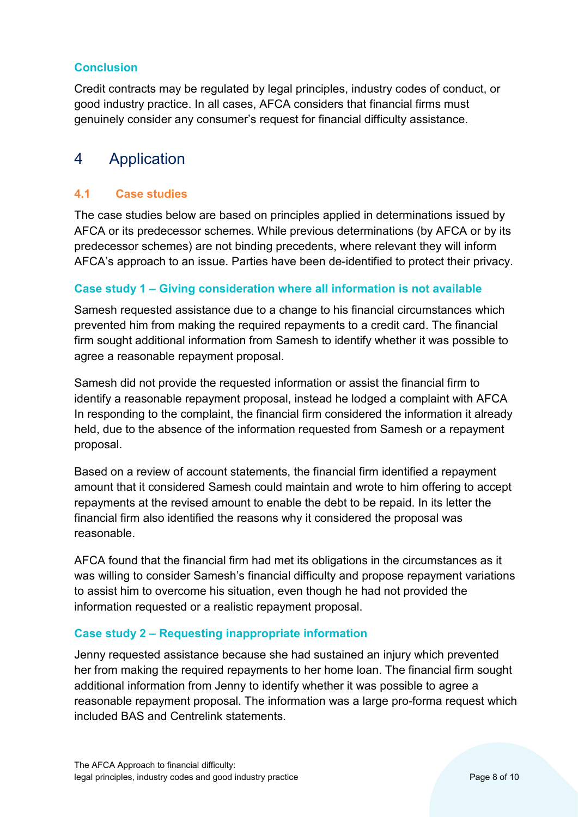## **Conclusion**

Credit contracts may be regulated by legal principles, industry codes of conduct, or good industry practice. In all cases, AFCA considers that financial firms must genuinely consider any consumer's request for financial difficulty assistance.

# <span id="page-7-0"></span>4 Application

#### <span id="page-7-1"></span>**4.1 Case studies**

The case studies below are based on principles applied in determinations issued by AFCA or its predecessor schemes. While previous determinations (by AFCA or by its predecessor schemes) are not binding precedents, where relevant they will inform AFCA's approach to an issue. Parties have been de-identified to protect their privacy.

#### **Case study 1 – Giving consideration where all information is not available**

Samesh requested assistance due to a change to his financial circumstances which prevented him from making the required repayments to a credit card. The financial firm sought additional information from Samesh to identify whether it was possible to agree a reasonable repayment proposal.

Samesh did not provide the requested information or assist the financial firm to identify a reasonable repayment proposal, instead he lodged a complaint with AFCA In responding to the complaint, the financial firm considered the information it already held, due to the absence of the information requested from Samesh or a repayment proposal.

Based on a review of account statements, the financial firm identified a repayment amount that it considered Samesh could maintain and wrote to him offering to accept repayments at the revised amount to enable the debt to be repaid. In its letter the financial firm also identified the reasons why it considered the proposal was reasonable.

AFCA found that the financial firm had met its obligations in the circumstances as it was willing to consider Samesh's financial difficulty and propose repayment variations to assist him to overcome his situation, even though he had not provided the information requested or a realistic repayment proposal.

#### **Case study 2 – Requesting inappropriate information**

Jenny requested assistance because she had sustained an injury which prevented her from making the required repayments to her home loan. The financial firm sought additional information from Jenny to identify whether it was possible to agree a reasonable repayment proposal. The information was a large pro-forma request which included BAS and Centrelink statements.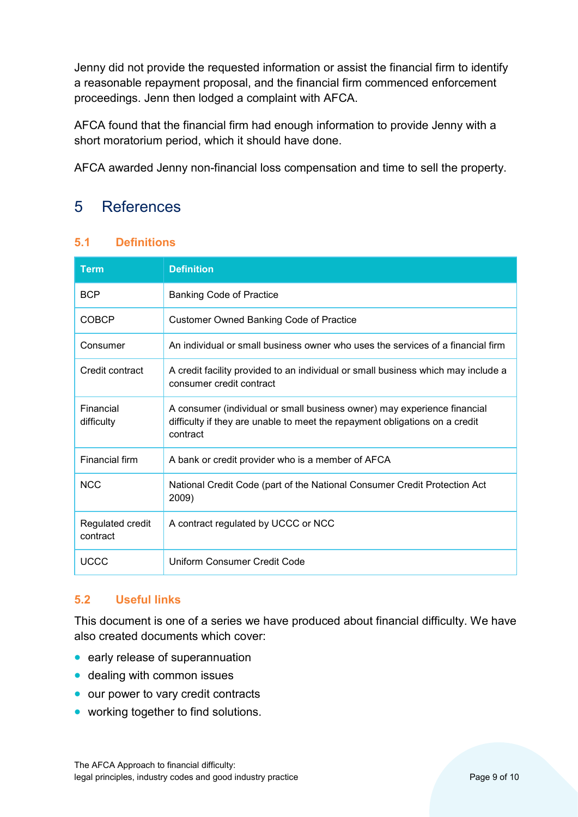Jenny did not provide the requested information or assist the financial firm to identify a reasonable repayment proposal, and the financial firm commenced enforcement proceedings. Jenn then lodged a complaint with AFCA.

AFCA found that the financial firm had enough information to provide Jenny with a short moratorium period, which it should have done.

AFCA awarded Jenny non-financial loss compensation and time to sell the property.

# <span id="page-8-0"></span>5 References

## <span id="page-8-1"></span>**5.1 Definitions**

| <b>Term</b>                  | <b>Definition</b>                                                                                                                                                   |
|------------------------------|---------------------------------------------------------------------------------------------------------------------------------------------------------------------|
| <b>BCP</b>                   | <b>Banking Code of Practice</b>                                                                                                                                     |
| <b>COBCP</b>                 | <b>Customer Owned Banking Code of Practice</b>                                                                                                                      |
| Consumer                     | An individual or small business owner who uses the services of a financial firm                                                                                     |
| Credit contract              | A credit facility provided to an individual or small business which may include a<br>consumer credit contract                                                       |
| Financial<br>difficulty      | A consumer (individual or small business owner) may experience financial<br>difficulty if they are unable to meet the repayment obligations on a credit<br>contract |
| Financial firm               | A bank or credit provider who is a member of AFCA                                                                                                                   |
| <b>NCC</b>                   | National Credit Code (part of the National Consumer Credit Protection Act<br>2009)                                                                                  |
| Regulated credit<br>contract | A contract regulated by UCCC or NCC                                                                                                                                 |
| <b>UCCC</b>                  | Uniform Consumer Credit Code                                                                                                                                        |

#### <span id="page-8-2"></span>**5.2 Useful links**

This document is one of a series we have produced about financial difficulty. We have also created documents which cover:

- early release of superannuation
- dealing with common issues
- our power to vary credit contracts
- working together to find solutions.